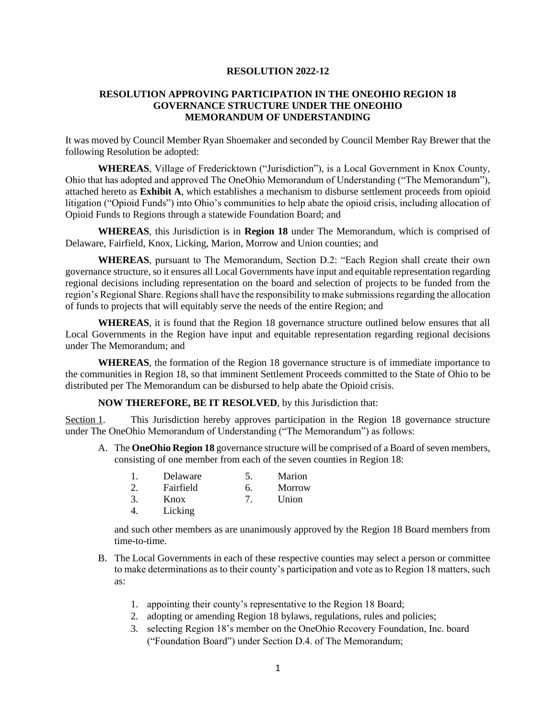## **RESOLUTION 2022-12**

## **RESOLUTION APPROVING PARTICIPATION IN THE ONEOHIO REGION 18 GOVERNANCE STRUCTURE UNDER THE ONEOHIO MEMORANDUM OF UNDERSTANDING**

It was moved by Council Member Ryan Shoemaker and seconded by Council Member Ray Brewer that the following Resolution be adopted:

**WHEREAS**, Village of Fredericktown ("Jurisdiction"), is a Local Government in Knox County, Ohio that has adopted and approved The OneOhio Memorandum of Understanding ("The Memorandum"), attached hereto as **Exhibit A**, which establishes a mechanism to disburse settlement proceeds from opioid litigation ("Opioid Funds") into Ohio's communities to help abate the opioid crisis, including allocation of Opioid Funds to Regions through a statewide Foundation Board; and

**WHEREAS**, this Jurisdiction is in **Region 18** under The Memorandum, which is comprised of Delaware, Fairfield, Knox, Licking, Marion, Morrow and Union counties; and

**WHEREAS**, pursuant to The Memorandum, Section D.2: "Each Region shall create their own governance structure, so it ensures all Local Governments have input and equitable representation regarding regional decisions including representation on the board and selection of projects to be funded from the region's Regional Share. Regions shall have the responsibility to make submissions regarding the allocation of funds to projects that will equitably serve the needs of the entire Region; and

**WHEREAS**, it is found that the Region 18 governance structure outlined below ensures that all Local Governments in the Region have input and equitable representation regarding regional decisions under The Memorandum; and

**WHEREAS**, the formation of the Region 18 governance structure is of immediate importance to the communities in Region 18, so that imminent Settlement Proceeds committed to the State of Ohio to be distributed per The Memorandum can be disbursed to help abate the Opioid crisis.

**NOW THEREFORE, BE IT RESOLVED**, by this Jurisdiction that:

Section 1. This Jurisdiction hereby approves participation in the Region 18 governance structure under The OneOhio Memorandum of Understanding ("The Memorandum") as follows:

A. The **OneOhio Region 18** governance structure will be comprised of a Board of seven members, consisting of one member from each of the seven counties in Region 18:

| Delaware  |    | Marion |
|-----------|----|--------|
| Fairfield | 6. | Morrow |

- 3. Knox 7. Union
- 4. Licking

and such other members as are unanimously approved by the Region 18 Board members from time-to-time.

- B. The Local Governments in each of these respective counties may select a person or committee to make determinations as to their county's participation and vote as to Region 18 matters, such as:
	- 1. appointing their county's representative to the Region 18 Board;
	- 2. adopting or amending Region 18 bylaws, regulations, rules and policies;
	- 3. selecting Region 18's member on the OneOhio Recovery Foundation, Inc. board ("Foundation Board") under Section D.4. of The Memorandum;